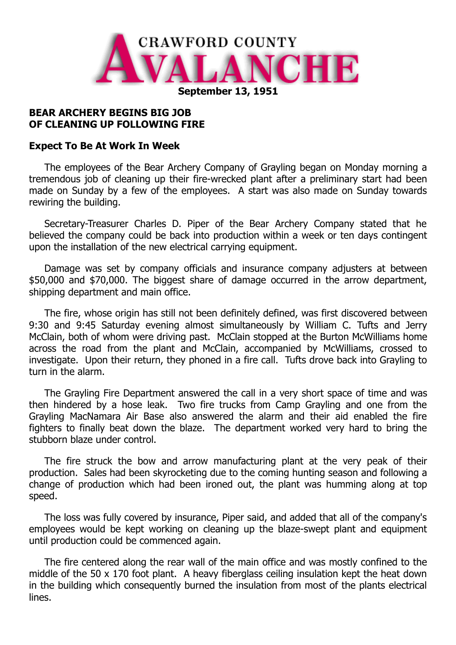

## **BEAR ARCHERY BEGINS BIG JOB OF CLEANING UP FOLLOWING FIRE**

## **Expect To Be At Work In Week**

The employees of the Bear Archery Company of Grayling began on Monday morning a tremendous job of cleaning up their fire-wrecked plant after a preliminary start had been made on Sunday by a few of the employees. A start was also made on Sunday towards rewiring the building.

Secretary-Treasurer Charles D. Piper of the Bear Archery Company stated that he believed the company could be back into production within a week or ten days contingent upon the installation of the new electrical carrying equipment.

Damage was set by company officials and insurance company adjusters at between \$50,000 and \$70,000. The biggest share of damage occurred in the arrow department, shipping department and main office.

The fire, whose origin has still not been definitely defined, was first discovered between 9:30 and 9:45 Saturday evening almost simultaneously by William C. Tufts and Jerry McClain, both of whom were driving past. McClain stopped at the Burton McWilliams home across the road from the plant and McClain, accompanied by McWilliams, crossed to investigate. Upon their return, they phoned in a fire call. Tufts drove back into Grayling to turn in the alarm.

The Grayling Fire Department answered the call in a very short space of time and was then hindered by a hose leak. Two fire trucks from Camp Grayling and one from the Grayling MacNamara Air Base also answered the alarm and their aid enabled the fire fighters to finally beat down the blaze. The department worked very hard to bring the stubborn blaze under control.

The fire struck the bow and arrow manufacturing plant at the very peak of their production. Sales had been skyrocketing due to the coming hunting season and following a change of production which had been ironed out, the plant was humming along at top speed.

The loss was fully covered by insurance, Piper said, and added that all of the company's employees would be kept working on cleaning up the blaze-swept plant and equipment until production could be commenced again.

The fire centered along the rear wall of the main office and was mostly confined to the middle of the 50 x 170 foot plant. A heavy fiberglass ceiling insulation kept the heat down in the building which consequently burned the insulation from most of the plants electrical lines.